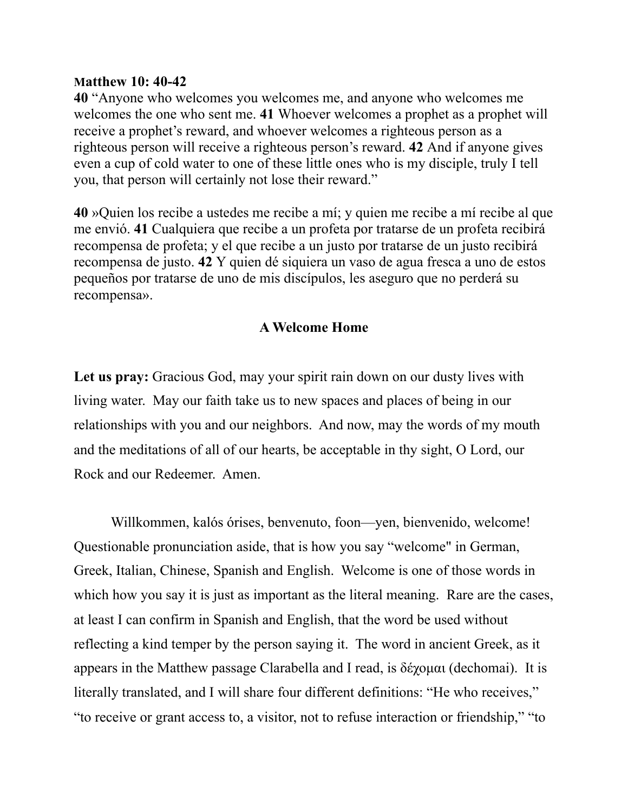## **Matthew 10: 40-42**

**40** "Anyone who welcomes you welcomes me, and anyone who welcomes me welcomes the one who sent me. **41** Whoever welcomes a prophet as a prophet will receive a prophet's reward, and whoever welcomes a righteous person as a righteous person will receive a righteous person's reward. **42** And if anyone gives even a cup of cold water to one of these little ones who is my disciple, truly I tell you, that person will certainly not lose their reward."

**40** »Quien los recibe a ustedes me recibe a mí; y quien me recibe a mí recibe al que me envió. **41** Cualquiera que recibe a un profeta por tratarse de un profeta recibirá recompensa de profeta; y el que recibe a un justo por tratarse de un justo recibirá recompensa de justo. **42** Y quien dé siquiera un vaso de agua fresca a uno de estos pequeños por tratarse de uno de mis discípulos, les aseguro que no perderá su recompensa».

## **A Welcome Home**

Let us pray: Gracious God, may your spirit rain down on our dusty lives with living water. May our faith take us to new spaces and places of being in our relationships with you and our neighbors. And now, may the words of my mouth and the meditations of all of our hearts, be acceptable in thy sight, O Lord, our Rock and our Redeemer. Amen.

Willkommen, kalós órises, benvenuto, foon—yen, bienvenido, welcome! Questionable pronunciation aside, that is how you say "welcome" in German, Greek, Italian, Chinese, Spanish and English. Welcome is one of those words in which how you say it is just as important as the literal meaning. Rare are the cases, at least I can confirm in Spanish and English, that the word be used without reflecting a kind temper by the person saying it. The word in ancient Greek, as it appears in the Matthew passage Clarabella and I read, is δέχοµαι (dechomai). It is literally translated, and I will share four different definitions: "He who receives," "to receive or grant access to, a visitor, not to refuse interaction or friendship," "to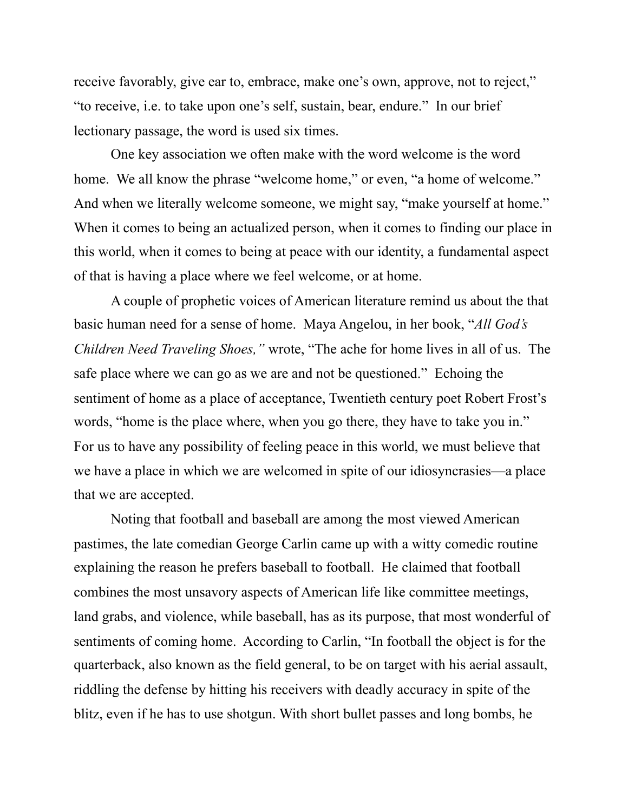receive favorably, give ear to, embrace, make one's own, approve, not to reject," "to receive, i.e. to take upon one's self, sustain, bear, endure." In our brief lectionary passage, the word is used six times.

 One key association we often make with the word welcome is the word home. We all know the phrase "welcome home," or even, "a home of welcome." And when we literally welcome someone, we might say, "make yourself at home." When it comes to being an actualized person, when it comes to finding our place in this world, when it comes to being at peace with our identity, a fundamental aspect of that is having a place where we feel welcome, or at home.

 A couple of prophetic voices of American literature remind us about the that basic human need for a sense of home. Maya Angelou, in her book, "*All God's Children Need Traveling Shoes,"* wrote, "The ache for home lives in all of us. The safe place where we can go as we are and not be questioned." Echoing the sentiment of home as a place of acceptance, Twentieth century poet Robert Frost's words, "home is the place where, when you go there, they have to take you in." For us to have any possibility of feeling peace in this world, we must believe that we have a place in which we are welcomed in spite of our idiosyncrasies—a place that we are accepted.

 Noting that football and baseball are among the most viewed American pastimes, the late comedian George Carlin came up with a witty comedic routine explaining the reason he prefers baseball to football. He claimed that football combines the most unsavory aspects of American life like committee meetings, land grabs, and violence, while baseball, has as its purpose, that most wonderful of sentiments of coming home. According to Carlin, "In football the object is for the quarterback, also known as the field general, to be on target with his aerial assault, riddling the defense by hitting his receivers with deadly accuracy in spite of the blitz, even if he has to use shotgun. With short bullet passes and long bombs, he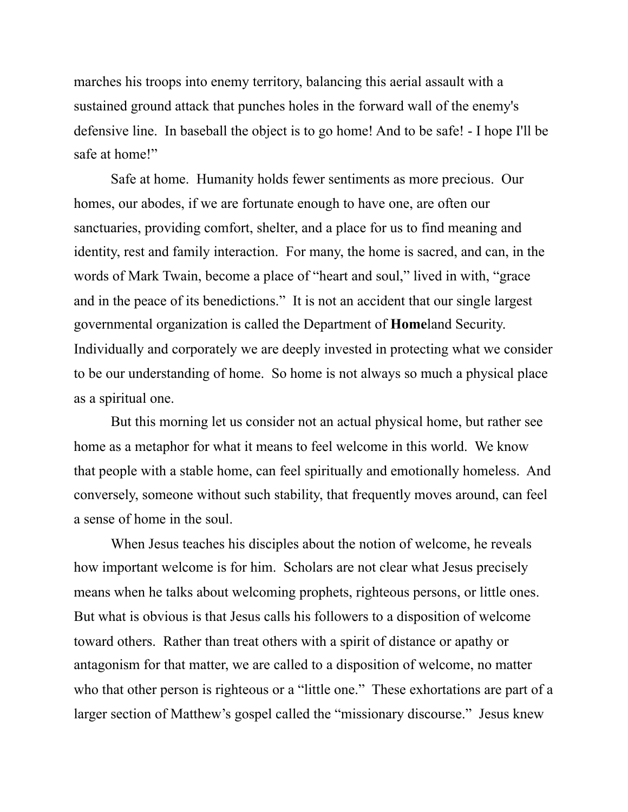marches his troops into enemy territory, balancing this aerial assault with a sustained ground attack that punches holes in the forward wall of the enemy's defensive line. In baseball the object is to go home! And to be safe! - I hope I'll be safe at home!"

 Safe at home. Humanity holds fewer sentiments as more precious. Our homes, our abodes, if we are fortunate enough to have one, are often our sanctuaries, providing comfort, shelter, and a place for us to find meaning and identity, rest and family interaction. For many, the home is sacred, and can, in the words of Mark Twain, become a place of "heart and soul," lived in with, "grace and in the peace of its benedictions." It is not an accident that our single largest governmental organization is called the Department of **Home**land Security. Individually and corporately we are deeply invested in protecting what we consider to be our understanding of home. So home is not always so much a physical place as a spiritual one.

 But this morning let us consider not an actual physical home, but rather see home as a metaphor for what it means to feel welcome in this world. We know that people with a stable home, can feel spiritually and emotionally homeless. And conversely, someone without such stability, that frequently moves around, can feel a sense of home in the soul.

When Jesus teaches his disciples about the notion of welcome, he reveals how important welcome is for him. Scholars are not clear what Jesus precisely means when he talks about welcoming prophets, righteous persons, or little ones. But what is obvious is that Jesus calls his followers to a disposition of welcome toward others. Rather than treat others with a spirit of distance or apathy or antagonism for that matter, we are called to a disposition of welcome, no matter who that other person is righteous or a "little one." These exhortations are part of a larger section of Matthew's gospel called the "missionary discourse." Jesus knew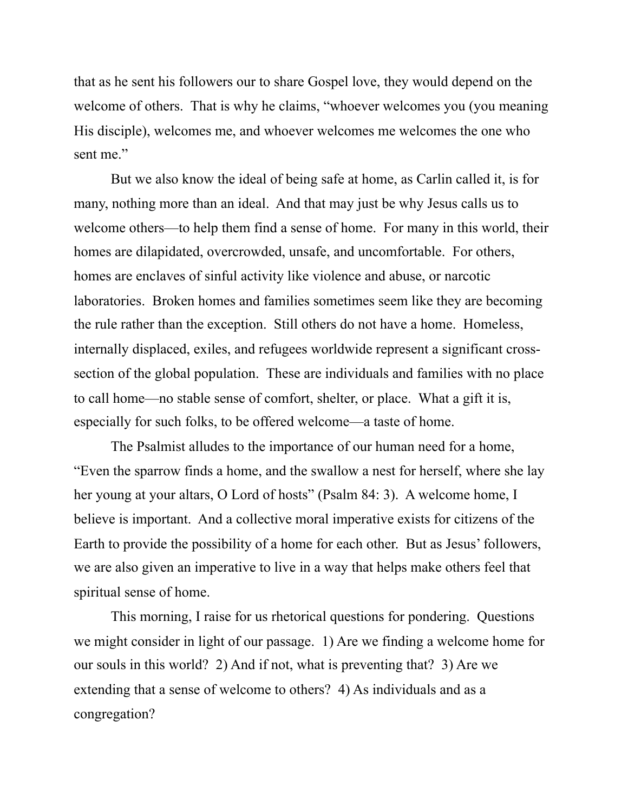that as he sent his followers our to share Gospel love, they would depend on the welcome of others. That is why he claims, "whoever welcomes you (you meaning His disciple), welcomes me, and whoever welcomes me welcomes the one who sent me."

 But we also know the ideal of being safe at home, as Carlin called it, is for many, nothing more than an ideal. And that may just be why Jesus calls us to welcome others—to help them find a sense of home. For many in this world, their homes are dilapidated, overcrowded, unsafe, and uncomfortable. For others, homes are enclaves of sinful activity like violence and abuse, or narcotic laboratories. Broken homes and families sometimes seem like they are becoming the rule rather than the exception. Still others do not have a home. Homeless, internally displaced, exiles, and refugees worldwide represent a significant crosssection of the global population. These are individuals and families with no place to call home—no stable sense of comfort, shelter, or place. What a gift it is, especially for such folks, to be offered welcome—a taste of home.

 The Psalmist alludes to the importance of our human need for a home, "Even the sparrow finds a home, and the swallow a nest for herself, where she lay her young at your altars, O Lord of hosts" (Psalm 84: 3). A welcome home, I believe is important. And a collective moral imperative exists for citizens of the Earth to provide the possibility of a home for each other. But as Jesus' followers, we are also given an imperative to live in a way that helps make others feel that spiritual sense of home.

 This morning, I raise for us rhetorical questions for pondering. Questions we might consider in light of our passage. 1) Are we finding a welcome home for our souls in this world? 2) And if not, what is preventing that? 3) Are we extending that a sense of welcome to others? 4) As individuals and as a congregation?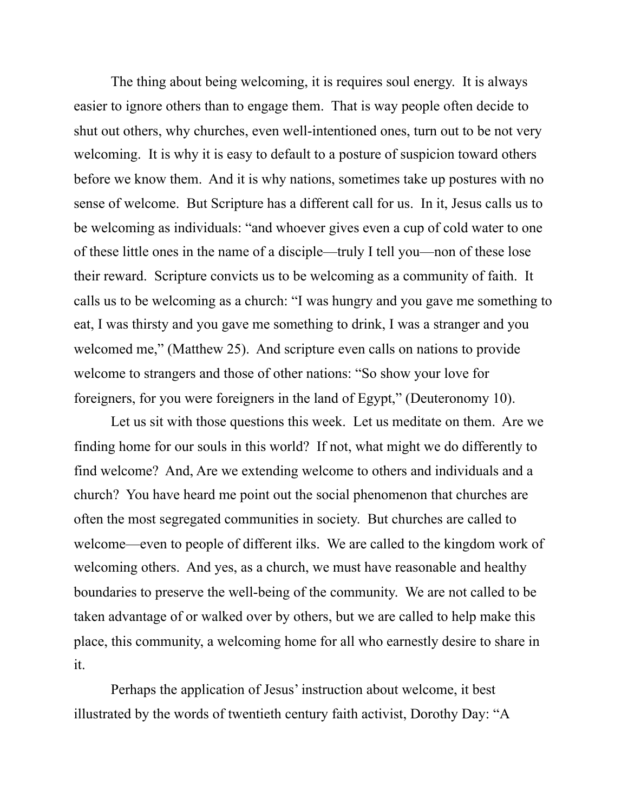The thing about being welcoming, it is requires soul energy. It is always easier to ignore others than to engage them. That is way people often decide to shut out others, why churches, even well-intentioned ones, turn out to be not very welcoming. It is why it is easy to default to a posture of suspicion toward others before we know them. And it is why nations, sometimes take up postures with no sense of welcome. But Scripture has a different call for us. In it, Jesus calls us to be welcoming as individuals: "and whoever gives even a cup of cold water to one of these little ones in the name of a disciple—truly I tell you—non of these lose their reward. Scripture convicts us to be welcoming as a community of faith. It calls us to be welcoming as a church: "I was hungry and you gave me something to eat, I was thirsty and you gave me something to drink, I was a stranger and you welcomed me," (Matthew 25). And scripture even calls on nations to provide welcome to strangers and those of other nations: "So show your love for foreigners, for you were foreigners in the land of Egypt," (Deuteronomy 10).

 Let us sit with those questions this week. Let us meditate on them. Are we finding home for our souls in this world? If not, what might we do differently to find welcome? And, Are we extending welcome to others and individuals and a church? You have heard me point out the social phenomenon that churches are often the most segregated communities in society. But churches are called to welcome—even to people of different ilks. We are called to the kingdom work of welcoming others. And yes, as a church, we must have reasonable and healthy boundaries to preserve the well-being of the community. We are not called to be taken advantage of or walked over by others, but we are called to help make this place, this community, a welcoming home for all who earnestly desire to share in it.

 Perhaps the application of Jesus' instruction about welcome, it best illustrated by the words of twentieth century faith activist, Dorothy Day: "A